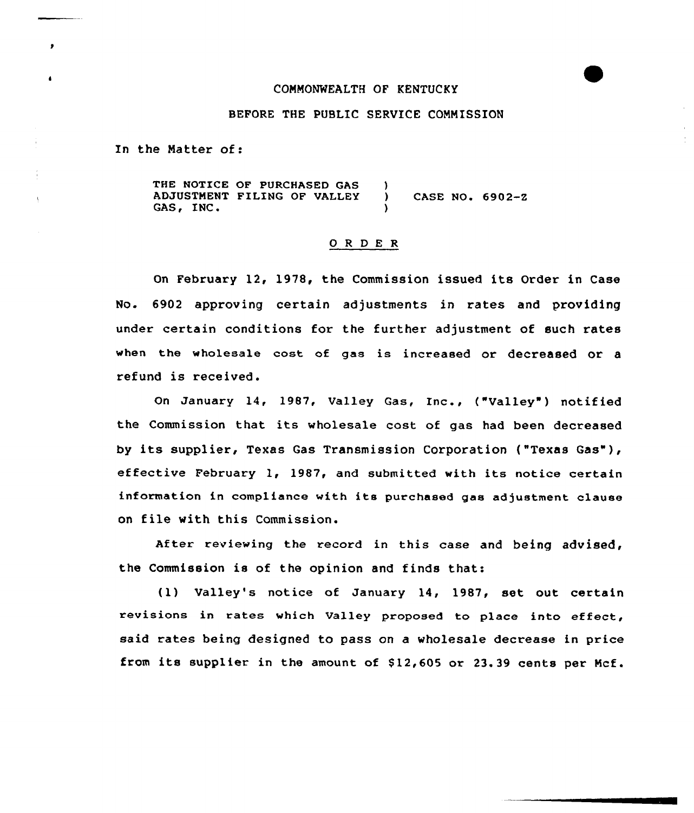# CONNONWEALTH OF KENTUCKY

### BEFORE THE PUBLIC SERVICE CONNISSION

In the Natter of:

THE NOTICE OF PURCHASED GAS -1 ADJUSTMENT FILING OF VALLEY (CASE NO. 6902-2<br>GAS, INC. )

### 0 <sup>R</sup> <sup>D</sup> E R

On February 12, 1978, the Commission issued its Order in Case No. 6902 approving certain adjustments in rates and providing under certain conditions for the further adjustment of such rates when the wholesale coat of gaa is increased or decreased or a refund is received.

On January 14, 1987, Valley Gas, Inc., ("Valley") notified the Commission that its wholesale cost of gas had been decreased by its supplier, Texas Gas Transmission Corporation ("Texas Gas"), effective February 1, 1987, and submitted with its notice certain information in compliance with its purchased gas adjustment clause on file with this Commission.

After reviewing the record in this case and being advised, the Commission is of the opinion and finds that:

(1) Valley's notice of January 14, 1987, set out certain revisions in rates which Valley proposed to place into effect, said rates being designed to pass on a wholesale decrease in price from its supplier in the amount of  $$12,605$  or  $23.39$  cents per Mcf.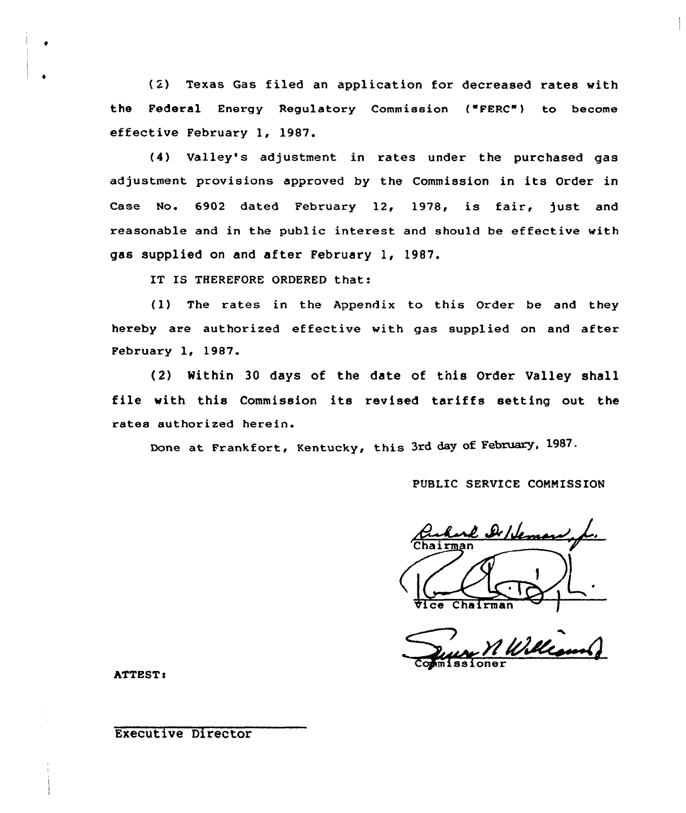( 2) Texas Gas filed an application for decreased rates with the Federal Energy Regulatory Commission ("FERC") to become effective February 1, 1987.

(4) Valley's adjustment in rates under the purchased gas adjustment provisions approved by the Commission in its Order in Case No. 6902 dated February 12, 1978, is fair, just and reasonable and in the public interest and should be effective with gas supplied on and after February 1, 1987.

IT IS THEREFORE ORDERED that:

(1) The rates in the Appendix to this Order be and they hereby are authorized effective with gas supplied on and after February 1, 1987.

(2) Within 30 days of the date of tnis Order Valley shall file with this Commission its revised tariffs setting out the rates authorized herein.

Done at Frankfort, Kentucky, this 3rd day of February, 1987.

PUBLIC SERVICE COMMISSION

e De Heman Vice Chairman

Commissione

ATTEST:

# Executive Director